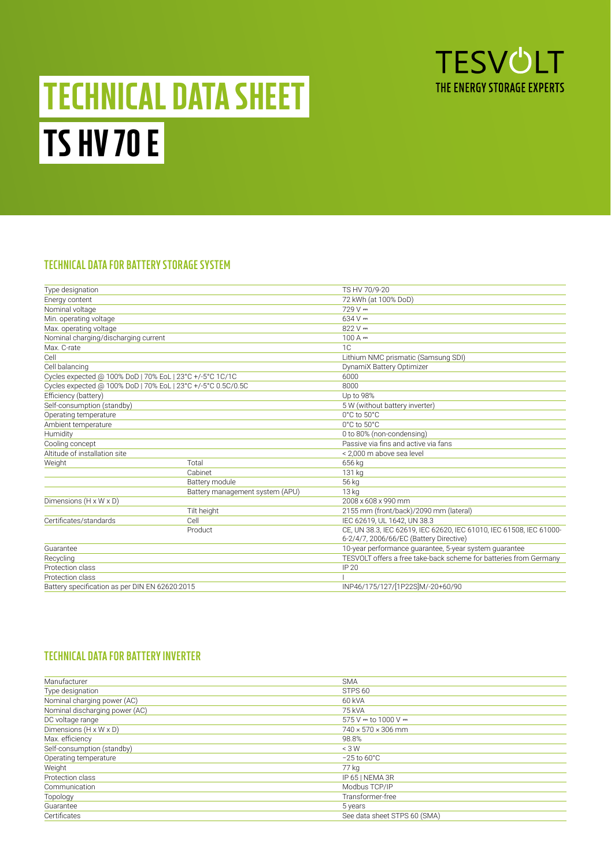

# TECHNICAL DATA SHEET TS HV 70 E

## **TECHNICAL DATA FOR BATTERY STORAGE SYSTEM**

| Type designation                                             |                                 | TS HV 70/9-20                                                                                                  |  |  |  |  |  |  |  |  |
|--------------------------------------------------------------|---------------------------------|----------------------------------------------------------------------------------------------------------------|--|--|--|--|--|--|--|--|
| Energy content                                               |                                 | 72 kWh (at 100% DoD)                                                                                           |  |  |  |  |  |  |  |  |
| Nominal voltage                                              |                                 | $729V =$                                                                                                       |  |  |  |  |  |  |  |  |
| Min. operating voltage                                       |                                 | $634V =$                                                                                                       |  |  |  |  |  |  |  |  |
| Max. operating voltage                                       |                                 | $822V =$                                                                                                       |  |  |  |  |  |  |  |  |
| Nominal charging/discharging current                         |                                 | $100A =$                                                                                                       |  |  |  |  |  |  |  |  |
| Max. C-rate                                                  |                                 | 1C                                                                                                             |  |  |  |  |  |  |  |  |
| Cell                                                         |                                 | Lithium NMC prismatic (Samsung SDI)                                                                            |  |  |  |  |  |  |  |  |
| Cell balancing                                               |                                 | DynamiX Battery Optimizer                                                                                      |  |  |  |  |  |  |  |  |
| Cycles expected @ 100% DoD   70% EoL   23°C +/-5°C 1C/1C     |                                 | 6000                                                                                                           |  |  |  |  |  |  |  |  |
| Cycles expected @ 100% DoD   70% EoL   23°C +/-5°C 0.5C/0.5C |                                 | 8000                                                                                                           |  |  |  |  |  |  |  |  |
| Efficiency (battery)                                         |                                 | Up to 98%                                                                                                      |  |  |  |  |  |  |  |  |
| Self-consumption (standby)                                   |                                 | 5 W (without battery inverter)                                                                                 |  |  |  |  |  |  |  |  |
| Operating temperature                                        |                                 | 0°C to 50°C                                                                                                    |  |  |  |  |  |  |  |  |
| Ambient temperature                                          |                                 | 0°C to 50°C                                                                                                    |  |  |  |  |  |  |  |  |
| Humidity                                                     |                                 | 0 to 80% (non-condensing)                                                                                      |  |  |  |  |  |  |  |  |
| Cooling concept                                              |                                 | Passive via fins and active via fans                                                                           |  |  |  |  |  |  |  |  |
| Altitude of installation site                                |                                 | < 2.000 m above sea level                                                                                      |  |  |  |  |  |  |  |  |
| Weight                                                       | Total                           | 656 kg                                                                                                         |  |  |  |  |  |  |  |  |
|                                                              | Cabinet                         | 131 kg                                                                                                         |  |  |  |  |  |  |  |  |
|                                                              | Battery module                  | 56 kg                                                                                                          |  |  |  |  |  |  |  |  |
|                                                              | Battery management system (APU) | 13 kg                                                                                                          |  |  |  |  |  |  |  |  |
| Dimensions (H x W x D)                                       |                                 | 2008 x 608 x 990 mm                                                                                            |  |  |  |  |  |  |  |  |
|                                                              | Tilt height                     | 2155 mm (front/back)/2090 mm (lateral)                                                                         |  |  |  |  |  |  |  |  |
| Certificates/standards                                       | Cell                            | IEC 62619, UL 1642, UN 38.3                                                                                    |  |  |  |  |  |  |  |  |
|                                                              | Product                         | CE, UN 38.3, IEC 62619, IEC 62620, IEC 61010, IEC 61508, IEC 61000-<br>6-2/4/7, 2006/66/EC (Battery Directive) |  |  |  |  |  |  |  |  |
| Guarantee                                                    |                                 | 10-year performance guarantee, 5-year system guarantee                                                         |  |  |  |  |  |  |  |  |
| Recycling                                                    |                                 | TESVOLT offers a free take-back scheme for batteries from Germany                                              |  |  |  |  |  |  |  |  |
| Protection class                                             |                                 | IP 20                                                                                                          |  |  |  |  |  |  |  |  |
| Protection class                                             |                                 |                                                                                                                |  |  |  |  |  |  |  |  |
| Battery specification as per DIN EN 62620:2015               |                                 | INP46/175/127/[1P22S]M/-20+60/90                                                                               |  |  |  |  |  |  |  |  |
|                                                              |                                 |                                                                                                                |  |  |  |  |  |  |  |  |

# **TECHNICAL DATA FOR BATTERY INVERTER**

| Manufacturer                   | <b>SMA</b>                     |
|--------------------------------|--------------------------------|
| Type designation               | STPS <sub>60</sub>             |
| Nominal charging power (AC)    | 60 kVA                         |
| Nominal discharging power (AC) | 75 kVA                         |
| DC voltage range               | $575V =$ to 1000 V $=$         |
| Dimensions (H x W x D)         | $740 \times 570 \times 306$ mm |
| Max. efficiency                | 98.8%                          |
| Self-consumption (standby)     | < 3W                           |
| Operating temperature          | $-25$ to 60 $^{\circ}$ C       |
| Weight                         | 77 kg                          |
| Protection class               | IP 65   NEMA 3R                |
| Communication                  | Modbus TCP/IP                  |
| Topology                       | Transformer-free               |
| Guarantee                      | 5 years                        |
| Certificates                   | See data sheet STPS 60 (SMA)   |
|                                |                                |